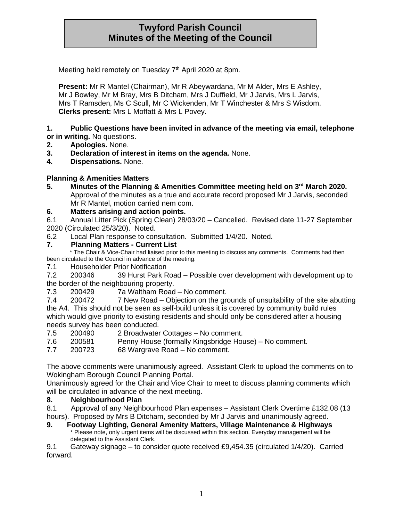# **Twyford Parish Council Minutes of the Meeting of the Council**

Meeting held remotely on Tuesday 7<sup>th</sup> April 2020 at 8pm.

**Present:** Mr R Mantel (Chairman), Mr R Abeywardana, Mr M Alder, Mrs E Ashley, Mr J Bowley, Mr M Bray, Mrs B Ditcham, Mrs J Duffield, Mr J Jarvis, Mrs L Jarvis, Mrs T Ramsden, Ms C Scull, Mr C Wickenden, Mr T Winchester & Mrs S Wisdom. **Clerks present:** Mrs L Moffatt & Mrs L Povey.

#### **1. Public Questions have been invited in advance of the meeting via email, telephone or in writing.** No questions.

- **2. Apologies.** None.
- **3. Declaration of interest in items on the agenda.** None.
- **4. Dispensations.** None.

#### **Planning & Amenities Matters**

**5. Minutes of the Planning & Amenities Committee meeting held on 3 rd March 2020.** Approval of the minutes as a true and accurate record proposed Mr J Jarvis, seconded Mr R Mantel, motion carried nem com.

#### **6. Matters arising and action points.**

6.1 Annual Litter Pick (Spring Clean) 28/03/20 – Cancelled. Revised date 11-27 September 2020 (Circulated 25/3/20). Noted.

6.2 Local Plan response to consultation. Submitted 1/4/20. Noted.

#### **7. Planning Matters - Current List**

 \* The Chair & Vice-Chair had liaised prior to this meeting to discuss any comments. Comments had then been circulated to the Council in advance of the meeting.

7.1 Householder Prior Notification

7.2 200346 39 Hurst Park Road – Possible over development with development up to the border of the neighbouring property.

7.3 200429 7a Waltham Road – No comment.

7.4 200472 7 New Road – Objection on the grounds of unsuitability of the site abutting the A4. This should not be seen as self-build unless it is covered by community build rules which would give priority to existing residents and should only be considered after a housing needs survey has been conducted.

- 7.5 200490 2 Broadwater Cottages No comment.
- 7.6 200581 Penny House (formally Kingsbridge House) No comment.
- 7.7 200723 68 Wargrave Road No comment.

The above comments were unanimously agreed. Assistant Clerk to upload the comments on to Wokingham Borough Council Planning Portal.

Unanimously agreed for the Chair and Vice Chair to meet to discuss planning comments which will be circulated in advance of the next meeting.

#### **8. Neighbourhood Plan**

8.1 Approval of any Neighbourhood Plan expenses – Assistant Clerk Overtime £132.08 (13 hours). Proposed by Mrs B Ditcham, seconded by Mr J Jarvis and unanimously agreed.

**9. Footway Lighting, General Amenity Matters, Village Maintenance & Highways** Please note, only urgent items will be discussed within this section. Everyday management will be delegated to the Assistant Clerk.

9.1 Gateway signage – to consider quote received £9,454.35 (circulated 1/4/20). Carried forward.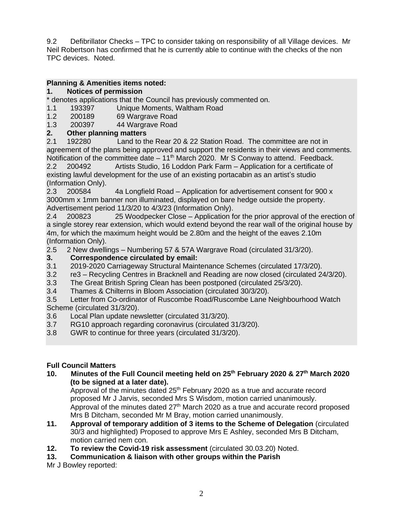9.2 Defibrillator Checks – TPC to consider taking on responsibility of all Village devices. Mr Neil Robertson has confirmed that he is currently able to continue with the checks of the non TPC devices. Noted.

## **Planning & Amenities items noted:**

## **1. Notices of permission**

\* denotes applications that the Council has previously commented on.

- 1.1 193397 Unique Moments, Waltham Road<br>1.2 200189 69 Wargrave Road
- 1.2 200189 69 Wargrave Road

1.3 200397 44 Wargrave Road

## **2. Other planning matters**

2.1 192280 Land to the Rear 20 & 22 Station Road. The committee are not in agreement of the plans being approved and support the residents in their views and comments. Notification of the committee date  $-11<sup>th</sup>$  March 2020. Mr S Conway to attend. Feedback.

2.2 200492 Artists Studio, 16 Loddon Park Farm – Application for a certificate of existing lawful development for the use of an existing portacabin as an artist's studio (Information Only).

2.3 200584 4a Longfield Road – Application for advertisement consent for 900 x 3000mm x 1mm banner non illuminated, displayed on bare hedge outside the property. Advertisement period 11/3/20 to 4/3/23 (Information Only).

2.4 200823 25 Woodpecker Close – Application for the prior approval of the erection of a single storey rear extension, which would extend beyond the rear wall of the original house by 4m, for which the maximum height would be 2.80m and the height of the eaves 2.10m (Information Only).

2.5 2 New dwellings – Numbering 57 & 57A Wargrave Road (circulated 31/3/20).

## **3. Correspondence circulated by email:**

- 3.1 2019-2020 Carriageway Structural Maintenance Schemes (circulated 17/3/20).
- 3.2 re3 Recycling Centres in Bracknell and Reading are now closed (circulated 24/3/20).
- 3.3 The Great British Spring Clean has been postponed (circulated 25/3/20).
- 3.4 Thames & Chilterns in Bloom Association (circulated 30/3/20).

3.5 Letter from Co-ordinator of Ruscombe Road/Ruscombe Lane Neighbourhood Watch Scheme (circulated 31/3/20).

- 3.6 Local Plan update newsletter (circulated 31/3/20).
- 3.7 RG10 approach regarding coronavirus (circulated 31/3/20).
- 3.8 GWR to continue for three years (circulated 31/3/20).

## **Full Council Matters**

**10. Minutes of the Full Council meeting held on 25th February 2020 & 27th March 2020 (to be signed at a later date).**

Approval of the minutes dated 25<sup>th</sup> February 2020 as a true and accurate record proposed Mr J Jarvis, seconded Mrs S Wisdom, motion carried unanimously. Approval of the minutes dated  $27<sup>th</sup>$  March 2020 as a true and accurate record proposed Mrs B Ditcham, seconded Mr M Bray, motion carried unanimously.

- **11. Approval of temporary addition of 3 items to the Scheme of Delegation** (circulated 30/3 and highlighted) Proposed to approve Mrs E Ashley, seconded Mrs B Ditcham, motion carried nem con.
- **12. To review the Covid-19 risk assessment** (circulated 30.03.20) Noted.
- **13. Communication & liaison with other groups within the Parish**

Mr J Bowley reported: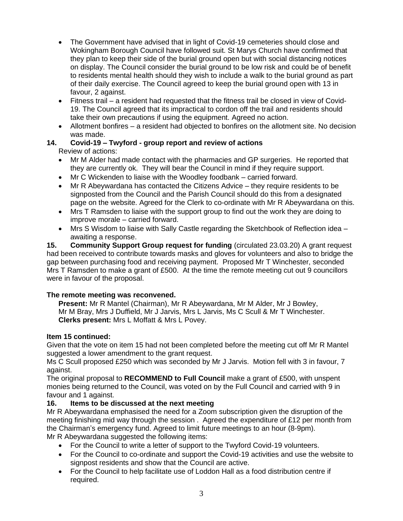- The Government have advised that in light of Covid-19 cemeteries should close and Wokingham Borough Council have followed suit. St Marys Church have confirmed that they plan to keep their side of the burial ground open but with social distancing notices on display. The Council consider the burial ground to be low risk and could be of benefit to residents mental health should they wish to include a walk to the burial ground as part of their daily exercise. The Council agreed to keep the burial ground open with 13 in favour, 2 against.
- Fitness trail a resident had requested that the fitness trail be closed in view of Covid-19. The Council agreed that its impractical to cordon off the trail and residents should take their own precautions if using the equipment. Agreed no action.
- Allotment bonfires a resident had objected to bonfires on the allotment site. No decision was made.

#### **14. Covid-19 – Twyford - group report and review of actions** Review of actions:

- Mr M Alder had made contact with the pharmacies and GP surgeries. He reported that they are currently ok. They will bear the Council in mind if they require support.
- Mr C Wickenden to liaise with the Woodley foodbank carried forward.
- Mr R Abeywardana has contacted the Citizens Advice they require residents to be signposted from the Council and the Parish Council should do this from a designated page on the website. Agreed for the Clerk to co-ordinate with Mr R Abeywardana on this.
- Mrs T Ramsden to liaise with the support group to find out the work they are doing to improve morale – carried forward.
- Mrs S Wisdom to liaise with Sally Castle regarding the Sketchbook of Reflection idea awaiting a response.

**15. Community Support Group request for funding** (circulated 23.03.20) A grant request had been received to contribute towards masks and gloves for volunteers and also to bridge the gap between purchasing food and receiving payment. Proposed Mr T Winchester, seconded Mrs T Ramsden to make a grant of £500. At the time the remote meeting cut out 9 councillors were in favour of the proposal.

## **The remote meeting was reconvened.**

**Present:** Mr R Mantel (Chairman), Mr R Abeywardana, Mr M Alder, Mr J Bowley, Mr M Bray, Mrs J Duffield, Mr J Jarvis, Mrs L Jarvis, Ms C Scull & Mr T Winchester. **Clerks present:** Mrs L Moffatt & Mrs L Povey.

### **Item 15 continued:**

Given that the vote on item 15 had not been completed before the meeting cut off Mr R Mantel suggested a lower amendment to the grant request.

Ms C Scull proposed £250 which was seconded by Mr J Jarvis. Motion fell with 3 in favour, 7 against.

The original proposal to **RECOMMEND to Full Council** make a grant of £500, with unspent monies being returned to the Council, was voted on by the Full Council and carried with 9 in favour and 1 against.

## **16. Items to be discussed at the next meeting**

Mr R Abeywardana emphasised the need for a Zoom subscription given the disruption of the meeting finishing mid way through the session . Agreed the expenditure of £12 per month from the Chairman's emergency fund. Agreed to limit future meetings to an hour (8-9pm). Mr R Abeywardana suggested the following items:

- For the Council to write a letter of support to the Twyford Covid-19 volunteers.
- For the Council to co-ordinate and support the Covid-19 activities and use the website to signpost residents and show that the Council are active.
- For the Council to help facilitate use of Loddon Hall as a food distribution centre if required.